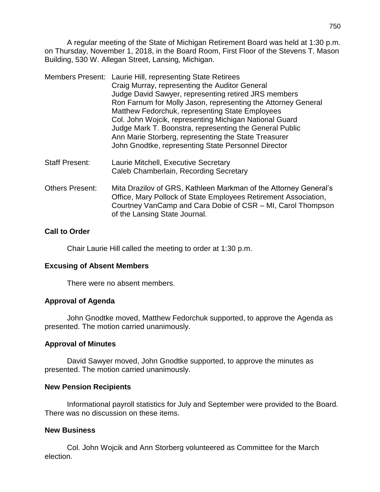A regular meeting of the State of Michigan Retirement Board was held at 1:30 p.m. on Thursday, November 1, 2018, in the Board Room, First Floor of the Stevens T. Mason Building, 530 W. Allegan Street, Lansing, Michigan.

|                | Members Present: Laurie Hill, representing State Retirees<br>Craig Murray, representing the Auditor General<br>Judge David Sawyer, representing retired JRS members<br>Ron Farnum for Molly Jason, representing the Attorney General<br>Matthew Fedorchuk, representing State Employees<br>Col. John Wojcik, representing Michigan National Guard<br>Judge Mark T. Boonstra, representing the General Public<br>Ann Marie Storberg, representing the State Treasurer<br>John Gnodtke, representing State Personnel Director |
|----------------|-----------------------------------------------------------------------------------------------------------------------------------------------------------------------------------------------------------------------------------------------------------------------------------------------------------------------------------------------------------------------------------------------------------------------------------------------------------------------------------------------------------------------------|
| Staff Procont: | aurie Mitchell Evecutive Secretary                                                                                                                                                                                                                                                                                                                                                                                                                                                                                          |

- Staff Present: Laurie Mitchell, Executive Secretary Caleb Chamberlain, Recording Secretary
- Others Present: Mita Drazilov of GRS, Kathleen Markman of the Attorney General's Office, Mary Pollock of State Employees Retirement Association, Courtney VanCamp and Cara Dobie of CSR – MI, Carol Thompson of the Lansing State Journal.

# **Call to Order**

Chair Laurie Hill called the meeting to order at 1:30 p.m.

# **Excusing of Absent Members**

There were no absent members.

# **Approval of Agenda**

John Gnodtke moved, Matthew Fedorchuk supported, to approve the Agenda as presented. The motion carried unanimously.

# **Approval of Minutes**

David Sawyer moved, John Gnodtke supported, to approve the minutes as presented. The motion carried unanimously.

# **New Pension Recipients**

Informational payroll statistics for July and September were provided to the Board. There was no discussion on these items.

# **New Business**

Col. John Wojcik and Ann Storberg volunteered as Committee for the March election.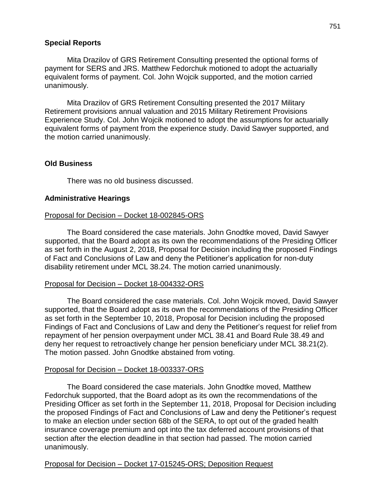### **Special Reports**

Mita Drazilov of GRS Retirement Consulting presented the optional forms of payment for SERS and JRS. Matthew Fedorchuk motioned to adopt the actuarially equivalent forms of payment. Col. John Wojcik supported, and the motion carried unanimously.

Mita Drazilov of GRS Retirement Consulting presented the 2017 Military Retirement provisions annual valuation and 2015 Military Retirement Provisions Experience Study. Col. John Wojcik motioned to adopt the assumptions for actuarially equivalent forms of payment from the experience study. David Sawyer supported, and the motion carried unanimously.

## **Old Business**

There was no old business discussed.

#### **Administrative Hearings**

#### Proposal for Decision – Docket 18-002845-ORS

The Board considered the case materials. John Gnodtke moved, David Sawyer supported, that the Board adopt as its own the recommendations of the Presiding Officer as set forth in the August 2, 2018, Proposal for Decision including the proposed Findings of Fact and Conclusions of Law and deny the Petitioner's application for non-duty disability retirement under MCL 38.24. The motion carried unanimously.

#### Proposal for Decision – Docket 18-004332-ORS

The Board considered the case materials. Col. John Wojcik moved, David Sawyer supported, that the Board adopt as its own the recommendations of the Presiding Officer as set forth in the September 10, 2018, Proposal for Decision including the proposed Findings of Fact and Conclusions of Law and deny the Petitioner's request for relief from repayment of her pension overpayment under MCL 38.41 and Board Rule 38.49 and deny her request to retroactively change her pension beneficiary under MCL 38.21(2). The motion passed. John Gnodtke abstained from voting.

#### Proposal for Decision – Docket 18-003337-ORS

The Board considered the case materials. John Gnodtke moved, Matthew Fedorchuk supported, that the Board adopt as its own the recommendations of the Presiding Officer as set forth in the September 11, 2018, Proposal for Decision including the proposed Findings of Fact and Conclusions of Law and deny the Petitioner's request to make an election under section 68b of the SERA, to opt out of the graded health insurance coverage premium and opt into the tax deferred account provisions of that section after the election deadline in that section had passed. The motion carried unanimously.

### Proposal for Decision – Docket 17-015245-ORS; Deposition Request